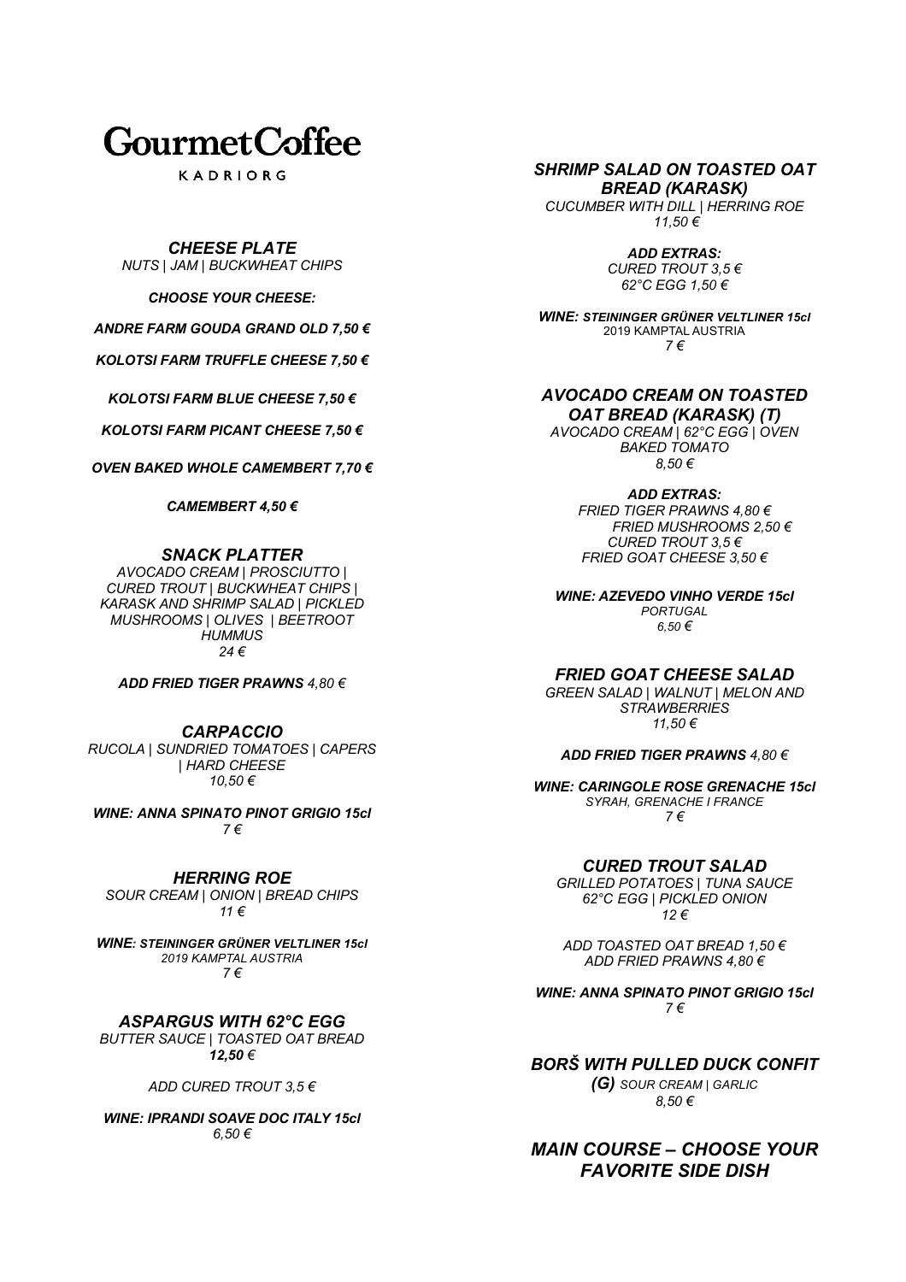# **GourmetCoffee**

KADRIORG

*CHEESE PLATE NUTS | JAM | BUCKWHEAT CHIPS*

*CHOOSE YOUR CHEESE:*

*ANDRE FARM GOUDA GRAND OLD 7,50 €*

*KOLOTSI FARM TRUFFLE CHEESE 7,50 €*

*KOLOTSI FARM BLUE CHEESE 7,50 €*

*KOLOTSI FARM PICANT CHEESE 7,50 €*

*OVEN BAKED WHOLE CAMEMBERT 7,70 €*

*CAMEMBERT 4,50 €*

## *SNACK PLATTER*

*AVOCADO CREAM | PROSCIUTTO | CURED TROUT | BUCKWHEAT CHIPS | KARASK AND SHRIMP SALAD | PICKLED MUSHROOMS | OLIVES | BEETROOT HUMMUS 24 €*

*ADD FRIED TIGER PRAWNS 4,80 €*

*CARPACCIO RUCOLA | SUNDRIED TOMATOES | CAPERS | HARD CHEESE 10,50 €*

*WINE: ANNA SPINATO PINOT GRIGIO 15cl 7 €*

*HERRING ROE SOUR CREAM | ONION | BREAD CHIPS 11 €*

*WINE: STEININGER GRÜNER VELTLINER 15cl 2019 KAMPTAL AUSTRIA 7 €*

*ASPARGUS WITH 62°C EGG BUTTER SAUCE | TOASTED OAT BREAD 12,50 €*

*ADD CURED TROUT 3,5 €*

*WINE: IPRANDI SOAVE DOC ITALY 15cl 6,50 €*

*SHRIMP SALAD ON TOASTED OAT BREAD (KARASK)*

*CUCUMBER WITH DILL | HERRING ROE 11,50 €*

> *ADD EXTRAS: CURED TROUT 3,5 € 62°C EGG 1,50 €*

*WINE: STEININGER GRÜNER VELTLINER 15cl*  2019 KAMPTAL AUSTRIA *7 €*

## *AVOCADO CREAM ON TOASTED OAT BREAD (KARASK) (T)*

*AVOCADO CREAM | 62°C EGG | OVEN BAKED TOMATO 8,50 €*

*ADD EXTRAS:*

*FRIED TIGER PRAWNS 4,80 € FRIED MUSHROOMS 2,50 € CURED TROUT 3,5 € FRIED GOAT CHEESE 3,50 €*

*WINE: AZEVEDO VINHO VERDE 15cl PORTUGAL 6,50 €*

*FRIED GOAT CHEESE SALAD*

*GREEN SALAD | WALNUT | MELON AND STRAWBERRIES 11,50 €*

*ADD FRIED TIGER PRAWNS 4,80 €*

*WINE: CARINGOLE ROSE GRENACHE 15cl SYRAH, GRENACHE I FRANCE 7 €*

*CURED TROUT SALAD* 

*GRILLED POTATOES | TUNA SAUCE 62°C EGG | PICKLED ONION 12 €*

*ADD TOASTED OAT BREAD 1,50 € ADD FRIED PRAWNS 4,80 €*

*WINE: ANNA SPINATO PINOT GRIGIO 15cl 7 €*

*BORŠ WITH PULLED DUCK CONFIT* 

*(G) SOUR CREAM | GARLIC 8,50 €*

*MAIN COURSE – CHOOSE YOUR FAVORITE SIDE DISH*